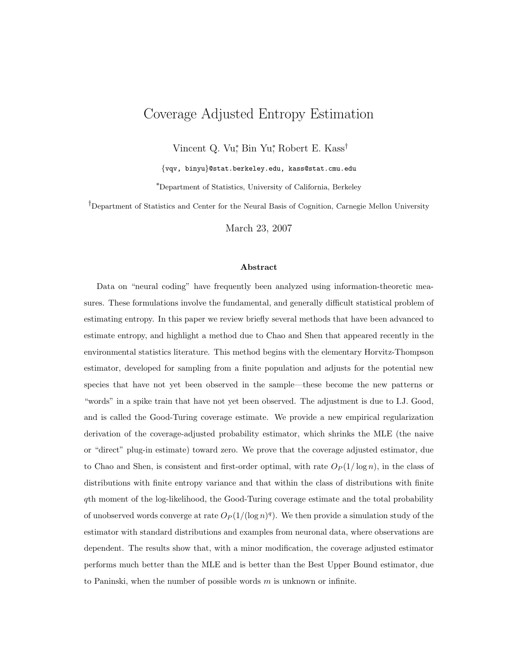# Coverage Adjusted Entropy Estimation

Vincent Q. Vu<sup>\*</sup>, Bin Yu<sup>\*</sup>, Robert E. Kass<sup>†</sup>

{vqv, binyu}@stat.berkeley.edu, kass@stat.cmu.edu

<sup>∗</sup>Department of Statistics, University of California, Berkeley

†Department of Statistics and Center for the Neural Basis of Cognition, Carnegie Mellon University

March 23, 2007

#### Abstract

Data on "neural coding" have frequently been analyzed using information-theoretic measures. These formulations involve the fundamental, and generally difficult statistical problem of estimating entropy. In this paper we review briefly several methods that have been advanced to estimate entropy, and highlight a method due to Chao and Shen that appeared recently in the environmental statistics literature. This method begins with the elementary Horvitz-Thompson estimator, developed for sampling from a finite population and adjusts for the potential new species that have not yet been observed in the sample—these become the new patterns or "words" in a spike train that have not yet been observed. The adjustment is due to I.J. Good, and is called the Good-Turing coverage estimate. We provide a new empirical regularization derivation of the coverage-adjusted probability estimator, which shrinks the MLE (the naive or "direct" plug-in estimate) toward zero. We prove that the coverage adjusted estimator, due to Chao and Shen, is consistent and first-order optimal, with rate  $O_P(1/\log n)$ , in the class of distributions with finite entropy variance and that within the class of distributions with finite qth moment of the log-likelihood, the Good-Turing coverage estimate and the total probability of unobserved words converge at rate  $O_P(1/(\log n)^q)$ . We then provide a simulation study of the estimator with standard distributions and examples from neuronal data, where observations are dependent. The results show that, with a minor modification, the coverage adjusted estimator performs much better than the MLE and is better than the Best Upper Bound estimator, due to Paninski, when the number of possible words  $m$  is unknown or infinite.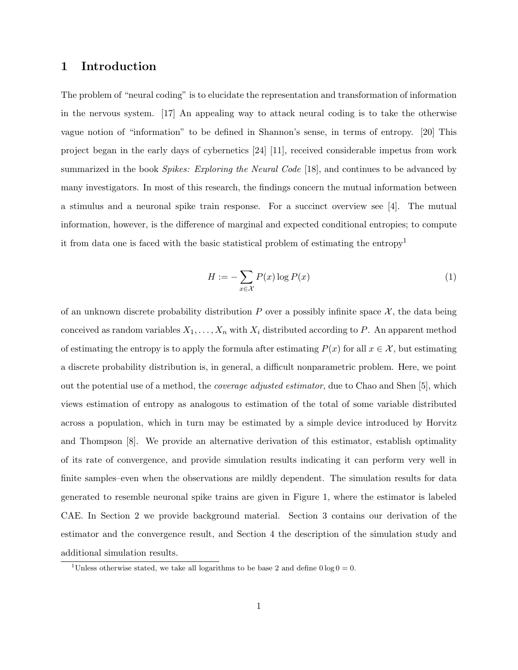## 1 Introduction

The problem of "neural coding" is to elucidate the representation and transformation of information in the nervous system. [17] An appealing way to attack neural coding is to take the otherwise vague notion of "information" to be defined in Shannon's sense, in terms of entropy. [20] This project began in the early days of cybernetics [24] [11], received considerable impetus from work summarized in the book *Spikes: Exploring the Neural Code* [18], and continues to be advanced by many investigators. In most of this research, the findings concern the mutual information between a stimulus and a neuronal spike train response. For a succinct overview see [4]. The mutual information, however, is the difference of marginal and expected conditional entropies; to compute it from data one is faced with the basic statistical problem of estimating the entropy<sup>1</sup>

$$
H := -\sum_{x \in \mathcal{X}} P(x) \log P(x) \tag{1}
$$

of an unknown discrete probability distribution P over a possibly infinite space  $\mathcal{X}$ , the data being conceived as random variables  $X_1, \ldots, X_n$  with  $X_i$  distributed according to P. An apparent method of estimating the entropy is to apply the formula after estimating  $P(x)$  for all  $x \in \mathcal{X}$ , but estimating a discrete probability distribution is, in general, a difficult nonparametric problem. Here, we point out the potential use of a method, the coverage adjusted estimator, due to Chao and Shen [5], which views estimation of entropy as analogous to estimation of the total of some variable distributed across a population, which in turn may be estimated by a simple device introduced by Horvitz and Thompson [8]. We provide an alternative derivation of this estimator, establish optimality of its rate of convergence, and provide simulation results indicating it can perform very well in finite samples–even when the observations are mildly dependent. The simulation results for data generated to resemble neuronal spike trains are given in Figure 1, where the estimator is labeled CAE. In Section 2 we provide background material. Section 3 contains our derivation of the estimator and the convergence result, and Section 4 the description of the simulation study and additional simulation results.

<sup>&</sup>lt;sup>1</sup>Unless otherwise stated, we take all logarithms to be base 2 and define  $0 \log 0 = 0$ .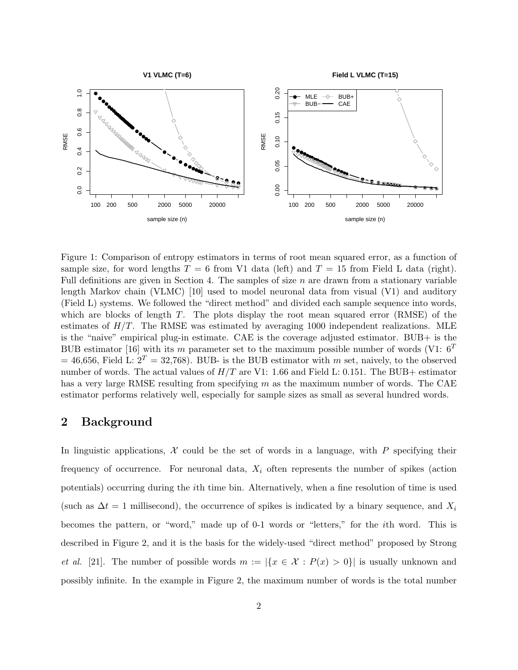

Figure 1: Comparison of entropy estimators in terms of root mean squared error, as a function of sample size, for word lengths  $T = 6$  from V1 data (left) and  $T = 15$  from Field L data (right). Full definitions are given in Section 4. The samples of size  $n$  are drawn from a stationary variable length Markov chain (VLMC) [10] used to model neuronal data from visual (V1) and auditory (Field L) systems. We followed the "direct method" and divided each sample sequence into words, which are blocks of length  $T$ . The plots display the root mean squared error  $(RMSE)$  of the estimates of  $H/T$ . The RMSE was estimated by averaging 1000 independent realizations. MLE is the "naive" empirical plug-in estimate. CAE is the coverage adjusted estimator. BUB+ is the BUB estimator [16] with its m parameter set to the maximum possible number of words (V1:  $6^T$ )  $= 46,656$ , Field L:  $2<sup>T</sup> = 32,768$ ). BUB- is the BUB estimator with m set, naively, to the observed number of words. The actual values of  $H/T$  are V1: 1.66 and Field L: 0.151. The BUB+ estimator has a very large RMSE resulting from specifying m as the maximum number of words. The CAE estimator performs relatively well, especially for sample sizes as small as several hundred words.

## 2 Background

In linguistic applications,  $\mathcal X$  could be the set of words in a language, with P specifying their frequency of occurrence. For neuronal data,  $X_i$  often represents the number of spikes (action potentials) occurring during the ith time bin. Alternatively, when a fine resolution of time is used (such as  $\Delta t = 1$  millisecond), the occurrence of spikes is indicated by a binary sequence, and  $X_i$ becomes the pattern, or "word," made up of 0-1 words or "letters," for the ith word. This is described in Figure 2, and it is the basis for the widely-used "direct method" proposed by Strong et al. [21]. The number of possible words  $m := |\{x \in \mathcal{X} : P(x) > 0\}|$  is usually unknown and possibly infinite. In the example in Figure 2, the maximum number of words is the total number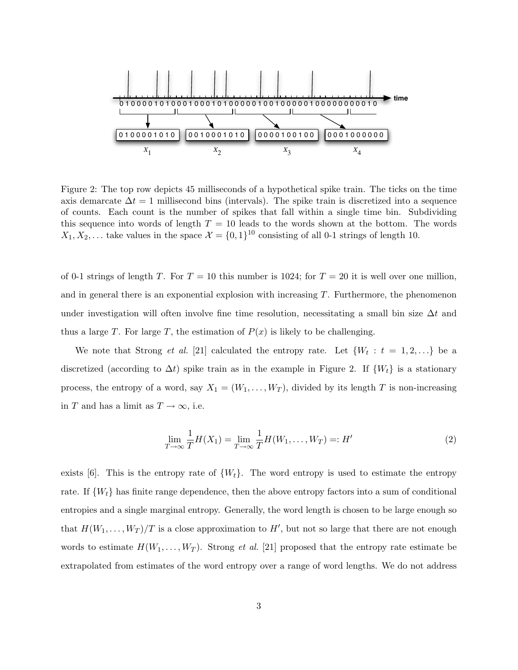

Figure 2: The top row depicts 45 milliseconds of a hypothetical spike train. The ticks on the time axis demarcate  $\Delta t = 1$  millisecond bins (intervals). The spike train is discretized into a sequence of counts. Each count is the number of spikes that fall within a single time bin. Subdividing this sequence into words of length  $T = 10$  leads to the words shown at the bottom. The words  $X_1, X_2, \ldots$  take values in the space  $\mathcal{X} = \{0, 1\}^{10}$  consisting of all 0-1 strings of length 10.

of 0-1 strings of length T. For  $T = 10$  this number is 1024; for  $T = 20$  it is well over one million, and in general there is an exponential explosion with increasing T. Furthermore, the phenomenon under investigation will often involve fine time resolution, necessitating a small bin size  $\Delta t$  and thus a large T. For large T, the estimation of  $P(x)$  is likely to be challenging.

We note that Strong *et al.* [21] calculated the entropy rate. Let  $\{W_t : t = 1, 2, ...\}$  be a discretized (according to  $\Delta t$ ) spike train as in the example in Figure 2. If  $\{W_t\}$  is a stationary process, the entropy of a word, say  $X_1 = (W_1, \ldots, W_T)$ , divided by its length T is non-increasing in T and has a limit as  $T \to \infty$ , i.e.

$$
\lim_{T \to \infty} \frac{1}{T} H(X_1) = \lim_{T \to \infty} \frac{1}{T} H(W_1, \dots, W_T) =: H'
$$
\n(2)

exists [6]. This is the entropy rate of  $\{W_t\}$ . The word entropy is used to estimate the entropy rate. If  $\{W_t\}$  has finite range dependence, then the above entropy factors into a sum of conditional entropies and a single marginal entropy. Generally, the word length is chosen to be large enough so that  $H(W_1, \ldots, W_T)/T$  is a close approximation to  $H'$ , but not so large that there are not enough words to estimate  $H(W_1, \ldots, W_T)$ . Strong *et al.* [21] proposed that the entropy rate estimate be extrapolated from estimates of the word entropy over a range of word lengths. We do not address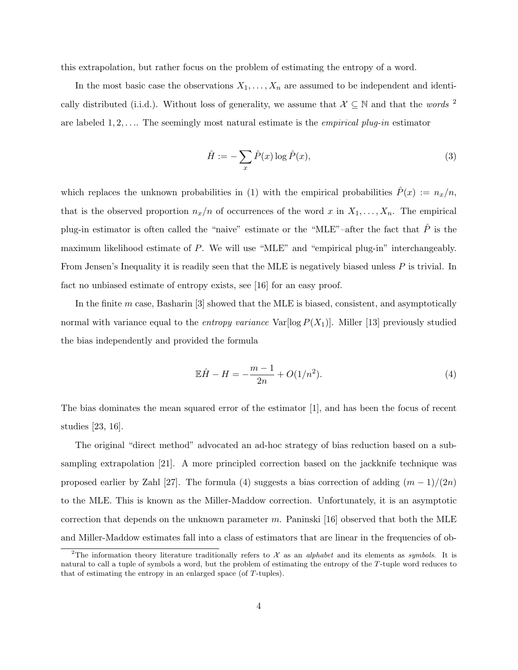this extrapolation, but rather focus on the problem of estimating the entropy of a word.

In the most basic case the observations  $X_1, \ldots, X_n$  are assumed to be independent and identically distributed (i.i.d.). Without loss of generality, we assume that  $\mathcal{X} \subseteq \mathbb{N}$  and that the words <sup>2</sup> are labeled  $1, 2, \ldots$ . The seemingly most natural estimate is the *empirical plug-in* estimator

$$
\hat{H} := -\sum_{x} \hat{P}(x) \log \hat{P}(x),\tag{3}
$$

which replaces the unknown probabilities in (1) with the empirical probabilities  $\hat{P}(x) := n_x/n$ , that is the observed proportion  $n_x/n$  of occurrences of the word x in  $X_1, \ldots, X_n$ . The empirical plug-in estimator is often called the "naive" estimate or the "MLE"–after the fact that  $\hat{P}$  is the maximum likelihood estimate of P. We will use "MLE" and "empirical plug-in" interchangeably. From Jensen's Inequality it is readily seen that the MLE is negatively biased unless P is trivial. In fact no unbiased estimate of entropy exists, see [16] for an easy proof.

In the finite  $m$  case, Basharin  $[3]$  showed that the MLE is biased, consistent, and asymptotically normal with variance equal to the *entropy variance*  $Var[log P(X_1)]$ . Miller [13] previously studied the bias independently and provided the formula

$$
\mathbb{E}\hat{H} - H = -\frac{m-1}{2n} + O(1/n^2). \tag{4}
$$

The bias dominates the mean squared error of the estimator [1], and has been the focus of recent studies [23, 16].

The original "direct method" advocated an ad-hoc strategy of bias reduction based on a subsampling extrapolation [21]. A more principled correction based on the jackknife technique was proposed earlier by Zahl [27]. The formula (4) suggests a bias correction of adding  $(m-1)/(2n)$ to the MLE. This is known as the Miller-Maddow correction. Unfortunately, it is an asymptotic correction that depends on the unknown parameter m. Paninski [16] observed that both the MLE and Miller-Maddow estimates fall into a class of estimators that are linear in the frequencies of ob-

<sup>&</sup>lt;sup>2</sup>The information theory literature traditionally refers to  $\mathcal X$  as an *alphabet* and its elements as *symbols*. It is natural to call a tuple of symbols a word, but the problem of estimating the entropy of the T-tuple word reduces to that of estimating the entropy in an enlarged space (of T-tuples).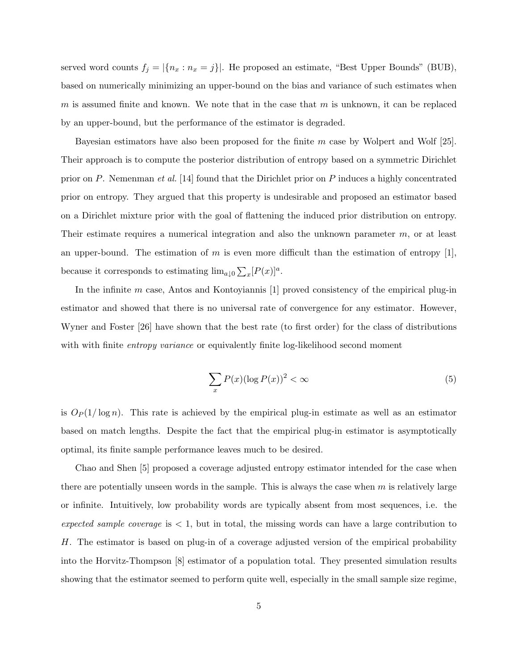served word counts  $f_j = |\{n_x : n_x = j\}|$ . He proposed an estimate, "Best Upper Bounds" (BUB), based on numerically minimizing an upper-bound on the bias and variance of such estimates when m is assumed finite and known. We note that in the case that m is unknown, it can be replaced by an upper-bound, but the performance of the estimator is degraded.

Bayesian estimators have also been proposed for the finite m case by Wolpert and Wolf [25]. Their approach is to compute the posterior distribution of entropy based on a symmetric Dirichlet prior on P. Nemenman et al. [14] found that the Dirichlet prior on P induces a highly concentrated prior on entropy. They argued that this property is undesirable and proposed an estimator based on a Dirichlet mixture prior with the goal of flattening the induced prior distribution on entropy. Their estimate requires a numerical integration and also the unknown parameter m, or at least an upper-bound. The estimation of m is even more difficult than the estimation of entropy [1], because it corresponds to estimating  $\lim_{a\downarrow 0} \sum_x [P(x)]^a$ .

In the infinite  $m$  case, Antos and Kontoyiannis [1] proved consistency of the empirical plug-in estimator and showed that there is no universal rate of convergence for any estimator. However, Wyner and Foster [26] have shown that the best rate (to first order) for the class of distributions with with finite *entropy variance* or equivalently finite log-likelihood second moment

$$
\sum_{x} P(x) (\log P(x))^2 < \infty \tag{5}
$$

is  $O_P(1/\log n)$ . This rate is achieved by the empirical plug-in estimate as well as an estimator based on match lengths. Despite the fact that the empirical plug-in estimator is asymptotically optimal, its finite sample performance leaves much to be desired.

Chao and Shen [5] proposed a coverage adjusted entropy estimator intended for the case when there are potentially unseen words in the sample. This is always the case when  $m$  is relatively large or infinite. Intuitively, low probability words are typically absent from most sequences, i.e. the expected sample coverage is  $< 1$ , but in total, the missing words can have a large contribution to H. The estimator is based on plug-in of a coverage adjusted version of the empirical probability into the Horvitz-Thompson [8] estimator of a population total. They presented simulation results showing that the estimator seemed to perform quite well, especially in the small sample size regime,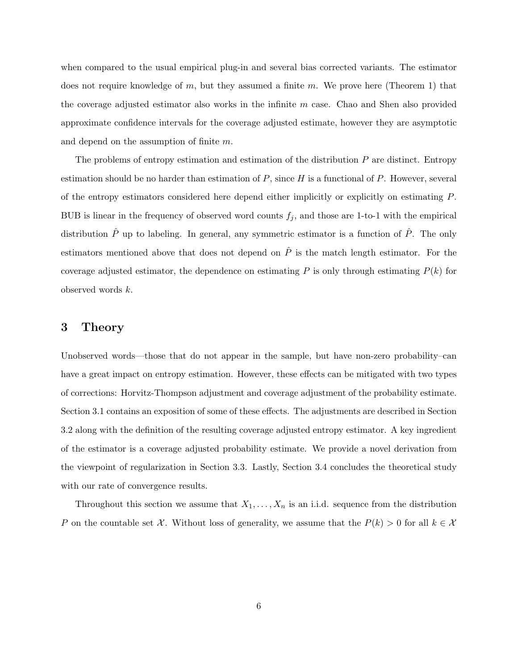when compared to the usual empirical plug-in and several bias corrected variants. The estimator does not require knowledge of m, but they assumed a finite m. We prove here (Theorem 1) that the coverage adjusted estimator also works in the infinite  $m$  case. Chao and Shen also provided approximate confidence intervals for the coverage adjusted estimate, however they are asymptotic and depend on the assumption of finite m.

The problems of entropy estimation and estimation of the distribution  $P$  are distinct. Entropy estimation should be no harder than estimation of  $P$ , since  $H$  is a functional of  $P$ . However, several of the entropy estimators considered here depend either implicitly or explicitly on estimating P. BUB is linear in the frequency of observed word counts  $f_j$ , and those are 1-to-1 with the empirical distribution  $\hat{P}$  up to labeling. In general, any symmetric estimator is a function of  $\hat{P}$ . The only estimators mentioned above that does not depend on  $\hat{P}$  is the match length estimator. For the coverage adjusted estimator, the dependence on estimating  $P$  is only through estimating  $P(k)$  for observed words k.

## 3 Theory

Unobserved words—those that do not appear in the sample, but have non-zero probability–can have a great impact on entropy estimation. However, these effects can be mitigated with two types of corrections: Horvitz-Thompson adjustment and coverage adjustment of the probability estimate. Section 3.1 contains an exposition of some of these effects. The adjustments are described in Section 3.2 along with the definition of the resulting coverage adjusted entropy estimator. A key ingredient of the estimator is a coverage adjusted probability estimate. We provide a novel derivation from the viewpoint of regularization in Section 3.3. Lastly, Section 3.4 concludes the theoretical study with our rate of convergence results.

Throughout this section we assume that  $X_1, \ldots, X_n$  is an i.i.d. sequence from the distribution P on the countable set X. Without loss of generality, we assume that the  $P(k) > 0$  for all  $k \in \mathcal{X}$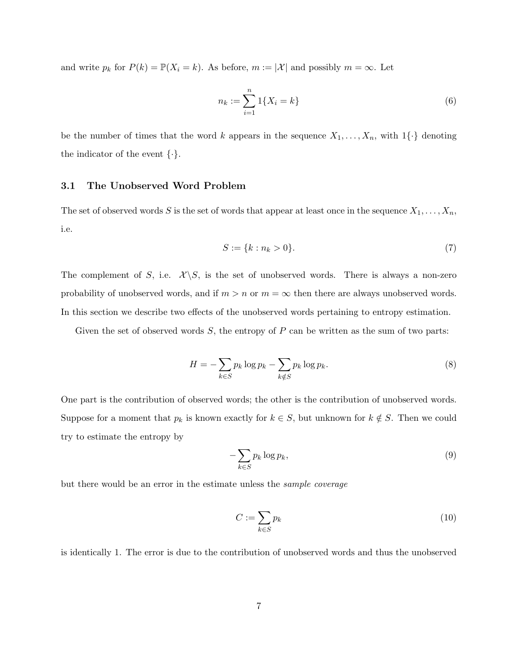and write  $p_k$  for  $P(k) = \mathbb{P}(X_i = k)$ . As before,  $m := |\mathcal{X}|$  and possibly  $m = \infty$ . Let

$$
n_k := \sum_{i=1}^n 1\{X_i = k\}
$$
 (6)

be the number of times that the word k appears in the sequence  $X_1, \ldots, X_n$ , with  $1\{\cdot\}$  denoting the indicator of the event  $\{\cdot\}.$ 

## 3.1 The Unobserved Word Problem

The set of observed words S is the set of words that appear at least once in the sequence  $X_1, \ldots, X_n$ , i.e.

$$
S := \{k : n_k > 0\}.
$$
 (7)

The complement of S, i.e.  $\mathcal{X}\backslash S$ , is the set of unobserved words. There is always a non-zero probability of unobserved words, and if  $m > n$  or  $m = \infty$  then there are always unobserved words. In this section we describe two effects of the unobserved words pertaining to entropy estimation.

Given the set of observed words  $S$ , the entropy of  $P$  can be written as the sum of two parts:

$$
H = -\sum_{k \in S} p_k \log p_k - \sum_{k \notin S} p_k \log p_k. \tag{8}
$$

One part is the contribution of observed words; the other is the contribution of unobserved words. Suppose for a moment that  $p_k$  is known exactly for  $k \in S$ , but unknown for  $k \notin S$ . Then we could try to estimate the entropy by

$$
-\sum_{k\in S} p_k \log p_k,\tag{9}
$$

but there would be an error in the estimate unless the sample coverage

$$
C := \sum_{k \in S} p_k \tag{10}
$$

is identically 1. The error is due to the contribution of unobserved words and thus the unobserved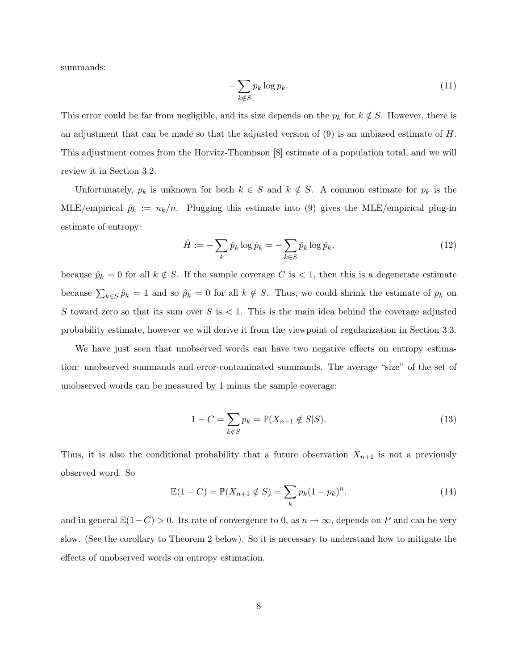summands:

$$
-\sum_{k \notin S} p_k \log p_k. \tag{11}
$$

This error could be far from negligible, and its size depends on the  $p_k$  for  $k \notin S$ . However, there is an adjustment that can be made so that the adjusted version of (9) is an unbiased estimate of H. This adjustment comes from the Horvitz-Thompson [8] estimate of a population total, and we will review it in Section 3.2.

Unfortunately,  $p_k$  is unknown for both  $k \in S$  and  $k \notin S$ . A common estimate for  $p_k$  is the MLE/empirical  $\hat{p}_k := n_k/n$ . Plugging this estimate into (9) gives the MLE/empirical plug-in estimate of entropy:

$$
\hat{H} := -\sum_{k} \hat{p}_k \log \hat{p}_k = -\sum_{k \in S} \hat{p}_k \log \hat{p}_k,\tag{12}
$$

because  $\hat{p}_k = 0$  for all  $k \notin S$ . If the sample coverage C is < 1, then this is a degenerate estimate because  $\sum_{k\in S}\hat{p}_k = 1$  and so  $\hat{p}_k = 0$  for all  $k \notin S$ . Thus, we could shrink the estimate of  $p_k$  on S toward zero so that its sum over S is  $< 1$ . This is the main idea behind the coverage adjusted probability estimate, however we will derive it from the viewpoint of regularization in Section 3.3.

We have just seen that unobserved words can have two negative effects on entropy estimation: unobserved summands and error-contaminated summands. The average "size" of the set of unobserved words can be measured by 1 minus the sample coverage:

$$
1 - C = \sum_{k \notin S} p_k = \mathbb{P}(X_{n+1} \notin S | S).
$$
 (13)

Thus, it is also the conditional probability that a future observation  $X_{n+1}$  is not a previously observed word. So

$$
\mathbb{E}(1 - C) = \mathbb{P}(X_{n+1} \notin S) = \sum_{k} p_k (1 - p_k)^n.
$$
 (14)

and in general  $\mathbb{E}(1-C) > 0$ . Its rate of convergence to 0, as  $n \to \infty$ , depends on P and can be very slow. (See the corollary to Theorem 2 below). So it is necessary to understand how to mitigate the effects of unobserved words on entropy estimation.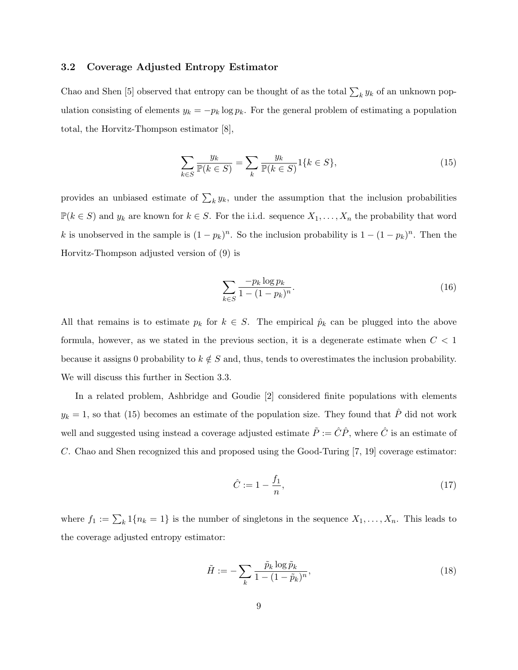### 3.2 Coverage Adjusted Entropy Estimator

Chao and Shen [5] observed that entropy can be thought of as the total  $\sum_k y_k$  of an unknown population consisting of elements  $y_k = -p_k \log p_k$ . For the general problem of estimating a population total, the Horvitz-Thompson estimator [8],

$$
\sum_{k \in S} \frac{y_k}{\mathbb{P}(k \in S)} = \sum_k \frac{y_k}{\mathbb{P}(k \in S)} 1\{k \in S\},\tag{15}
$$

provides an unbiased estimate of  $\sum_k y_k$ , under the assumption that the inclusion probabilities  $\mathbb{P}(k \in S)$  and  $y_k$  are known for  $k \in S$ . For the i.i.d. sequence  $X_1, \ldots, X_n$  the probability that word k is unobserved in the sample is  $(1 - p_k)^n$ . So the inclusion probability is  $1 - (1 - p_k)^n$ . Then the Horvitz-Thompson adjusted version of (9) is

$$
\sum_{k \in S} \frac{-p_k \log p_k}{1 - (1 - p_k)^n}.
$$
\n(16)

All that remains is to estimate  $p_k$  for  $k \in S$ . The empirical  $\hat{p}_k$  can be plugged into the above formula, however, as we stated in the previous section, it is a degenerate estimate when  $C < 1$ because it assigns 0 probability to  $k \notin S$  and, thus, tends to overestimates the inclusion probability. We will discuss this further in Section 3.3.

In a related problem, Ashbridge and Goudie [2] considered finite populations with elements  $y_k = 1$ , so that (15) becomes an estimate of the population size. They found that  $\hat{P}$  did not work well and suggested using instead a coverage adjusted estimate  $\tilde{P} := \hat{C}\hat{P}$ , where  $\hat{C}$  is an estimate of C. Chao and Shen recognized this and proposed using the Good-Turing [7, 19] coverage estimator:

$$
\hat{C} := 1 - \frac{f_1}{n},\tag{17}
$$

where  $f_1 := \sum_k 1\{n_k = 1\}$  is the number of singletons in the sequence  $X_1, \ldots, X_n$ . This leads to the coverage adjusted entropy estimator:

$$
\tilde{H} := -\sum_{k} \frac{\tilde{p}_k \log \tilde{p}_k}{1 - (1 - \tilde{p}_k)^n},\tag{18}
$$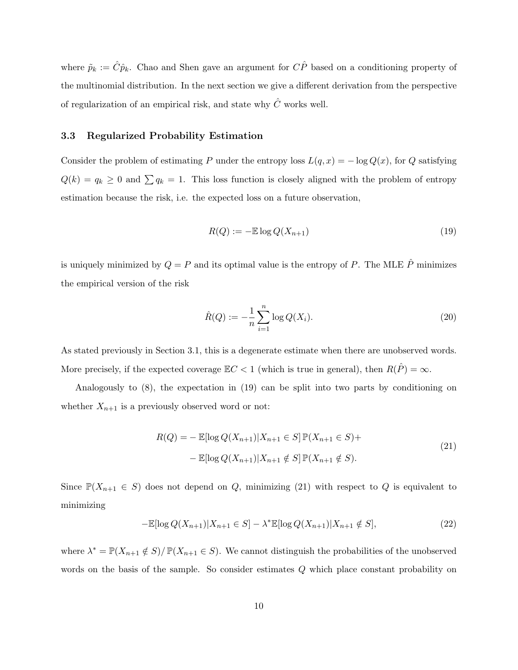where  $\tilde{p}_k := \hat{C}\hat{p}_k$ . Chao and Shen gave an argument for  $C\hat{P}$  based on a conditioning property of the multinomial distribution. In the next section we give a different derivation from the perspective of regularization of an empirical risk, and state why  $\hat{C}$  works well.

#### 3.3 Regularized Probability Estimation

Consider the problem of estimating P under the entropy loss  $L(q, x) = -\log Q(x)$ , for Q satisfying  $Q(k) = q_k \geq 0$  and  $\sum q_k = 1$ . This loss function is closely aligned with the problem of entropy estimation because the risk, i.e. the expected loss on a future observation,

$$
R(Q) := -\mathbb{E}\log Q(X_{n+1})\tag{19}
$$

is uniquely minimized by  $Q = P$  and its optimal value is the entropy of P. The MLE  $\hat{P}$  minimizes the empirical version of the risk

$$
\hat{R}(Q) := -\frac{1}{n} \sum_{i=1}^{n} \log Q(X_i).
$$
\n(20)

As stated previously in Section 3.1, this is a degenerate estimate when there are unobserved words. More precisely, if the expected coverage  $\mathbb{E}C < 1$  (which is true in general), then  $R(\hat{P}) = \infty$ .

Analogously to (8), the expectation in (19) can be split into two parts by conditioning on whether  $X_{n+1}$  is a previously observed word or not:

$$
R(Q) = - \mathbb{E}[\log Q(X_{n+1}) | X_{n+1} \in S] \mathbb{P}(X_{n+1} \in S) +
$$
  
- 
$$
\mathbb{E}[\log Q(X_{n+1}) | X_{n+1} \notin S] \mathbb{P}(X_{n+1} \notin S).
$$
 (21)

Since  $\mathbb{P}(X_{n+1} \in S)$  does not depend on Q, minimizing (21) with respect to Q is equivalent to minimizing

$$
-\mathbb{E}[\log Q(X_{n+1})|X_{n+1} \in S] - \lambda^* \mathbb{E}[\log Q(X_{n+1})|X_{n+1} \notin S],
$$
\n(22)

where  $\lambda^* = \mathbb{P}(X_{n+1} \notin S)/\mathbb{P}(X_{n+1} \in S)$ . We cannot distinguish the probabilities of the unobserved words on the basis of the sample. So consider estimates Q which place constant probability on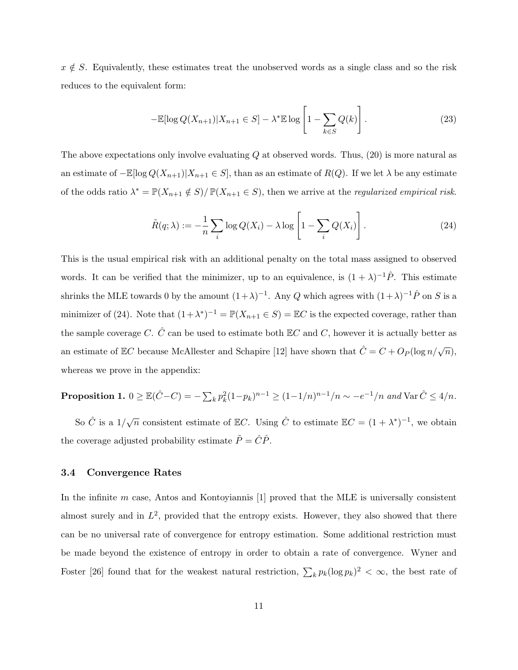$x \notin S$ . Equivalently, these estimates treat the unobserved words as a single class and so the risk reduces to the equivalent form:

$$
-\mathbb{E}[\log Q(X_{n+1})|X_{n+1} \in S] - \lambda^* \mathbb{E} \log \left[1 - \sum_{k \in S} Q(k)\right].
$$
 (23)

The above expectations only involve evaluating  $Q$  at observed words. Thus,  $(20)$  is more natural as an estimate of  $-\mathbb{E}[\log Q(X_{n+1})|X_{n+1} \in S]$ , than as an estimate of  $R(Q)$ . If we let  $\lambda$  be any estimate of the odds ratio  $\lambda^* = \mathbb{P}(X_{n+1} \notin S)/ \mathbb{P}(X_{n+1} \in S)$ , then we arrive at the *regularized empirical risk.* 

$$
\tilde{R}(q;\lambda) := -\frac{1}{n} \sum_{i} \log Q(X_i) - \lambda \log \left[ 1 - \sum_{i} Q(X_i) \right]. \tag{24}
$$

This is the usual empirical risk with an additional penalty on the total mass assigned to observed words. It can be verified that the minimizer, up to an equivalence, is  $(1 + \lambda)^{-1} \hat{P}$ . This estimate shrinks the MLE towards 0 by the amount  $(1+\lambda)^{-1}$ . Any Q which agrees with  $(1+\lambda)^{-1}\hat{P}$  on S is a minimizer of (24). Note that  $(1 + \lambda^*)^{-1} = \mathbb{P}(X_{n+1} \in S) = \mathbb{E}C$  is the expected coverage, rather than the sample coverage C.  $\hat{C}$  can be used to estimate both  $\mathbb{E}C$  and C, however it is actually better as an estimate of EC because McAllester and Schapire [12] have shown that  $\hat{C} = C + O_P(\log n/\sqrt{n}),$ whereas we prove in the appendix:

# **Proposition 1.**  $0 \geq \mathbb{E}(\hat{C} - C) = -\sum_{k} p_k^2 (1-p_k)^{n-1} \geq (1-1/n)^{n-1}/n \sim -e^{-1}/n$  and  $\text{Var}\,\hat{C} \leq 4/n$ .

So  $\hat{C}$  is a  $1/\sqrt{n}$  consistent estimate of EC. Using  $\hat{C}$  to estimate EC =  $(1 + \lambda^*)^{-1}$ , we obtain the coverage adjusted probability estimate  $\tilde{P} = \hat{C}\hat{P}$ .

#### 3.4 Convergence Rates

In the infinite  $m$  case, Antos and Kontoyiannis  $[1]$  proved that the MLE is universally consistent almost surely and in  $L^2$ , provided that the entropy exists. However, they also showed that there can be no universal rate of convergence for entropy estimation. Some additional restriction must be made beyond the existence of entropy in order to obtain a rate of convergence. Wyner and Foster [26] found that for the weakest natural restriction,  $\sum_k p_k (\log p_k)^2 < \infty$ , the best rate of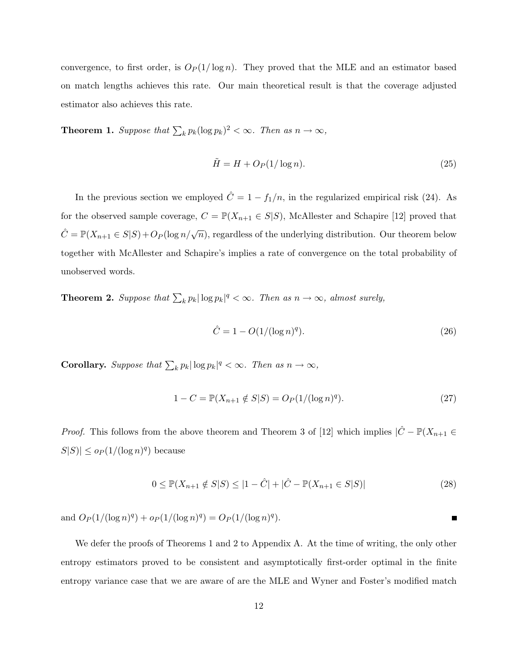convergence, to first order, is  $O_P(1/\log n)$ . They proved that the MLE and an estimator based on match lengths achieves this rate. Our main theoretical result is that the coverage adjusted estimator also achieves this rate.

**Theorem 1.** Suppose that  $\sum_k p_k (\log p_k)^2 < \infty$ . Then as  $n \to \infty$ ,

$$
\tilde{H} = H + O_P(1/\log n). \tag{25}
$$

In the previous section we employed  $\hat{C} = 1 - f_1/n$ , in the regularized empirical risk (24). As for the observed sample coverage,  $C = \mathbb{P}(X_{n+1} \in S|S)$ , McAllester and Schapire [12] proved that  $\hat{C} = \mathbb{P}(X_{n+1} \in S | S) + O_P(\log n / \sqrt{n})$ , regardless of the underlying distribution. Our theorem below together with McAllester and Schapire's implies a rate of convergence on the total probability of unobserved words.

**Theorem 2.** Suppose that  $\sum_k p_k |\log p_k|^q < \infty$ . Then as  $n \to \infty$ , almost surely,

$$
\hat{C} = 1 - O(1/(\log n)^q). \tag{26}
$$

**Corollary.** Suppose that  $\sum_k p_k |\log p_k|^q < \infty$ . Then as  $n \to \infty$ ,

$$
1 - C = \mathbb{P}(X_{n+1} \notin S | S) = O_P(1/(\log n)^q). \tag{27}
$$

*Proof.* This follows from the above theorem and Theorem 3 of [12] which implies  $|\hat{C} - \mathbb{P}(X_{n+1} \in$  $|S|S| \leq o_P(1/(\log n)^q)$  because

$$
0 \le \mathbb{P}(X_{n+1} \notin S | S) \le |1 - \hat{C}| + |\hat{C} - \mathbb{P}(X_{n+1} \in S | S)| \tag{28}
$$

and  $O_P(1/(\log n)^q) + o_P(1/(\log n)^q) = O_P(1/(\log n)^q)$ . П

We defer the proofs of Theorems 1 and 2 to Appendix A. At the time of writing, the only other entropy estimators proved to be consistent and asymptotically first-order optimal in the finite entropy variance case that we are aware of are the MLE and Wyner and Foster's modified match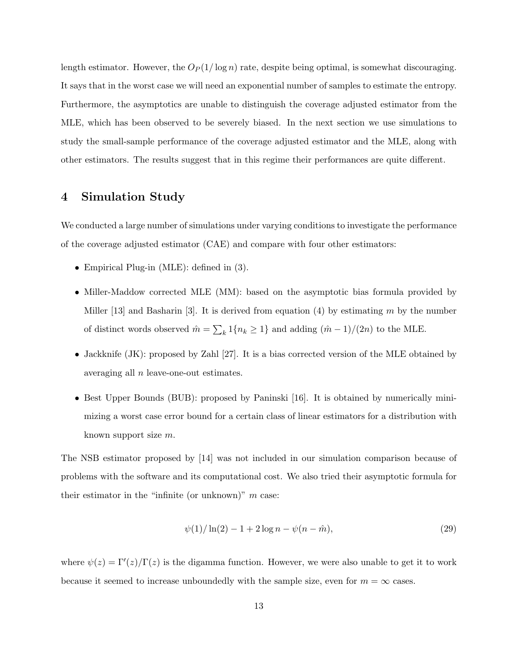length estimator. However, the  $O_P(1/\log n)$  rate, despite being optimal, is somewhat discouraging. It says that in the worst case we will need an exponential number of samples to estimate the entropy. Furthermore, the asymptotics are unable to distinguish the coverage adjusted estimator from the MLE, which has been observed to be severely biased. In the next section we use simulations to study the small-sample performance of the coverage adjusted estimator and the MLE, along with other estimators. The results suggest that in this regime their performances are quite different.

## 4 Simulation Study

We conducted a large number of simulations under varying conditions to investigate the performance of the coverage adjusted estimator (CAE) and compare with four other estimators:

- Empirical Plug-in (MLE): defined in  $(3)$ .
- Miller-Maddow corrected MLE (MM): based on the asymptotic bias formula provided by Miller  $[13]$  and Basharin  $[3]$ . It is derived from equation  $(4)$  by estimating m by the number of distinct words observed  $\hat{m} = \sum_{k} 1\{n_k \geq 1\}$  and adding  $(\hat{m} - 1)/(2n)$  to the MLE.
- Jackknife (JK): proposed by Zahl [27]. It is a bias corrected version of the MLE obtained by averaging all n leave-one-out estimates.
- Best Upper Bounds (BUB): proposed by Paninski [16]. It is obtained by numerically minimizing a worst case error bound for a certain class of linear estimators for a distribution with known support size m.

The NSB estimator proposed by [14] was not included in our simulation comparison because of problems with the software and its computational cost. We also tried their asymptotic formula for their estimator in the "infinite (or unknown)"  $m$  case:

$$
\psi(1)/\ln(2) - 1 + 2\log n - \psi(n - \hat{m}),\tag{29}
$$

where  $\psi(z) = \Gamma'(z)/\Gamma(z)$  is the digamma function. However, we were also unable to get it to work because it seemed to increase unboundedly with the sample size, even for  $m = \infty$  cases.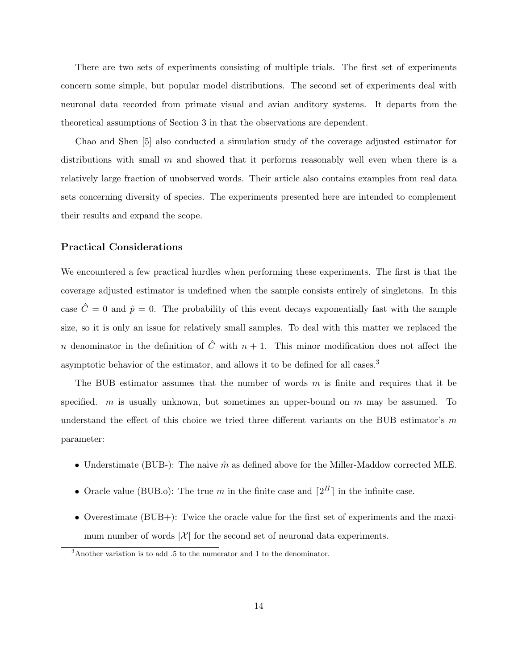There are two sets of experiments consisting of multiple trials. The first set of experiments concern some simple, but popular model distributions. The second set of experiments deal with neuronal data recorded from primate visual and avian auditory systems. It departs from the theoretical assumptions of Section 3 in that the observations are dependent.

Chao and Shen [5] also conducted a simulation study of the coverage adjusted estimator for distributions with small  $m$  and showed that it performs reasonably well even when there is a relatively large fraction of unobserved words. Their article also contains examples from real data sets concerning diversity of species. The experiments presented here are intended to complement their results and expand the scope.

### Practical Considerations

We encountered a few practical hurdles when performing these experiments. The first is that the coverage adjusted estimator is undefined when the sample consists entirely of singletons. In this case  $\hat{C}=0$  and  $\tilde{p}=0$ . The probability of this event decays exponentially fast with the sample size, so it is only an issue for relatively small samples. To deal with this matter we replaced the n denominator in the definition of  $\hat{C}$  with  $n + 1$ . This minor modification does not affect the asymptotic behavior of the estimator, and allows it to be defined for all cases.<sup>3</sup>

The BUB estimator assumes that the number of words  $m$  is finite and requires that it be specified.  $m$  is usually unknown, but sometimes an upper-bound on  $m$  may be assumed. To understand the effect of this choice we tried three different variants on the BUB estimator's  $m$ parameter:

- Understimate (BUB-): The naive  $\hat{m}$  as defined above for the Miller-Maddow corrected MLE.
- Oracle value (BUB.o): The true m in the finite case and  $[2^H]$  in the infinite case.
- Overestimate (BUB+): Twice the oracle value for the first set of experiments and the maximum number of words  $|\mathcal{X}|$  for the second set of neuronal data experiments.

 $3$ Another variation is to add .5 to the numerator and 1 to the denominator.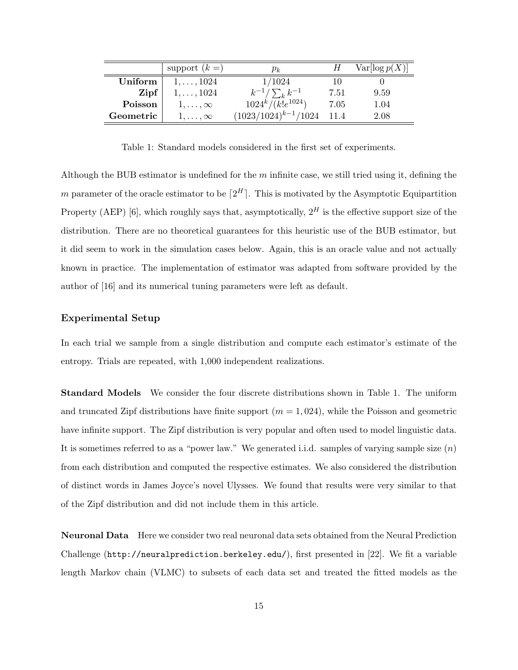|           | support $(k =)$   | $p_k$                    |      | Var[log p(X)] |
|-----------|-------------------|--------------------------|------|---------------|
| Uniform   | $1, \ldots, 1024$ | 1/1024                   |      |               |
| Zipf      | $1, \ldots, 1024$ | $k^{-1}/\sum_{k}k^{-1}$  | 7.51 | 9.59          |
| Poisson   | $1,\ldots,\infty$ | $1024^k/(k!e^{1024})$    | 7.05 | 1.04          |
| Geometric | $1,\ldots,\infty$ | $(1023/1024)^{k-1}/1024$ | 11.4 | 2.08          |

Table 1: Standard models considered in the first set of experiments.

Although the BUB estimator is undefined for the  $m$  infinite case, we still tried using it, defining the m parameter of the oracle estimator to be  $[2^H]$ . This is motivated by the Asymptotic Equipartition Property (AEP) [6], which roughly says that, asymptotically,  $2^H$  is the effective support size of the distribution. There are no theoretical guarantees for this heuristic use of the BUB estimator, but it did seem to work in the simulation cases below. Again, this is an oracle value and not actually known in practice. The implementation of estimator was adapted from software provided by the author of [16] and its numerical tuning parameters were left as default.

#### Experimental Setup

In each trial we sample from a single distribution and compute each estimator's estimate of the entropy. Trials are repeated, with 1,000 independent realizations.

Standard Models We consider the four discrete distributions shown in Table 1. The uniform and truncated Zipf distributions have finite support  $(m = 1, 024)$ , while the Poisson and geometric have infinite support. The Zipf distribution is very popular and often used to model linguistic data. It is sometimes referred to as a "power law." We generated i.i.d. samples of varying sample size  $(n)$ from each distribution and computed the respective estimates. We also considered the distribution of distinct words in James Joyce's novel Ulysses. We found that results were very similar to that of the Zipf distribution and did not include them in this article.

Neuronal Data Here we consider two real neuronal data sets obtained from the Neural Prediction Challenge (http://neuralprediction.berkeley.edu/), first presented in [22]. We fit a variable length Markov chain (VLMC) to subsets of each data set and treated the fitted models as the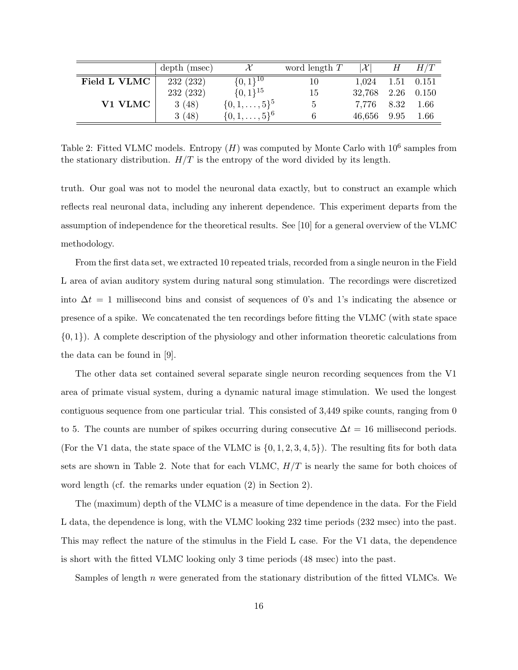|              | depth (msec) |                         | word length $T$ | $ \mathcal{X} $ | H    | H/T            |
|--------------|--------------|-------------------------|-----------------|-----------------|------|----------------|
| Field L VLMC | 232 (232)    | $\{0,1\}^{10}$          | 10              | 1,024           |      | $1.51$ $0.151$ |
|              | 232 (232)    | $\{0,1\}^{15}$          | 15              | 32,768          |      | $2.26$ 0.150   |
| V1 VLMC      | 3(48)        | $\{0, 1, \ldots, 5\}^5$ | 5.              | 7.776           | 8.32 | 1.66           |
|              | 3(48)        | $\{0, 1, \ldots, 5\}^6$ |                 | 46,656          | 9.95 | 1.66           |

Table 2: Fitted VLMC models. Entropy  $(H)$  was computed by Monte Carlo with  $10^6$  samples from the stationary distribution.  $H/T$  is the entropy of the word divided by its length.

truth. Our goal was not to model the neuronal data exactly, but to construct an example which reflects real neuronal data, including any inherent dependence. This experiment departs from the assumption of independence for the theoretical results. See [10] for a general overview of the VLMC methodology.

From the first data set, we extracted 10 repeated trials, recorded from a single neuron in the Field L area of avian auditory system during natural song stimulation. The recordings were discretized into  $\Delta t = 1$  millisecond bins and consist of sequences of 0's and 1's indicating the absence or presence of a spike. We concatenated the ten recordings before fitting the VLMC (with state space  $\{0, 1\}$ . A complete description of the physiology and other information theoretic calculations from the data can be found in [9].

The other data set contained several separate single neuron recording sequences from the V1 area of primate visual system, during a dynamic natural image stimulation. We used the longest contiguous sequence from one particular trial. This consisted of 3,449 spike counts, ranging from 0 to 5. The counts are number of spikes occurring during consecutive  $\Delta t = 16$  millisecond periods. (For the V1 data, the state space of the VLMC is  $\{0, 1, 2, 3, 4, 5\}$ ). The resulting fits for both data sets are shown in Table 2. Note that for each VLMC,  $H/T$  is nearly the same for both choices of word length (cf. the remarks under equation (2) in Section 2).

The (maximum) depth of the VLMC is a measure of time dependence in the data. For the Field L data, the dependence is long, with the VLMC looking 232 time periods (232 msec) into the past. This may reflect the nature of the stimulus in the Field L case. For the V1 data, the dependence is short with the fitted VLMC looking only 3 time periods (48 msec) into the past.

Samples of length n were generated from the stationary distribution of the fitted VLMCs. We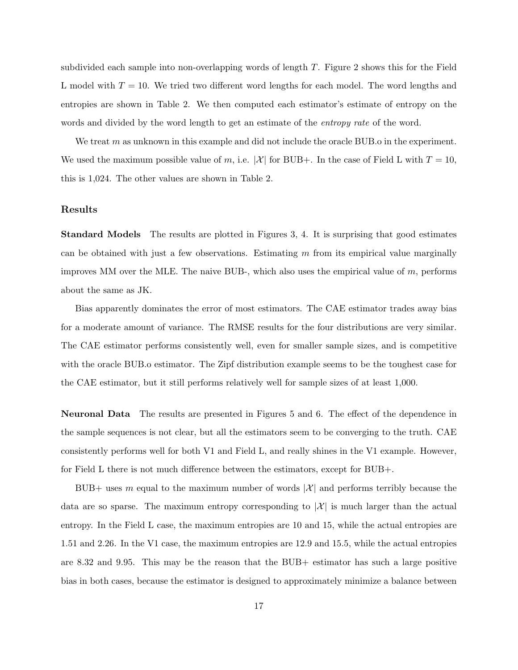subdivided each sample into non-overlapping words of length T. Figure 2 shows this for the Field L model with  $T = 10$ . We tried two different word lengths for each model. The word lengths and entropies are shown in Table 2. We then computed each estimator's estimate of entropy on the words and divided by the word length to get an estimate of the *entropy rate* of the word.

We treat m as unknown in this example and did not include the oracle BUB. o in the experiment. We used the maximum possible value of m, i.e. |X| for BUB+. In the case of Field L with  $T = 10$ , this is 1,024. The other values are shown in Table 2.

#### Results

Standard Models The results are plotted in Figures 3, 4. It is surprising that good estimates can be obtained with just a few observations. Estimating  $m$  from its empirical value marginally improves MM over the MLE. The naive BUB-, which also uses the empirical value of m, performs about the same as JK.

Bias apparently dominates the error of most estimators. The CAE estimator trades away bias for a moderate amount of variance. The RMSE results for the four distributions are very similar. The CAE estimator performs consistently well, even for smaller sample sizes, and is competitive with the oracle BUB.o estimator. The Zipf distribution example seems to be the toughest case for the CAE estimator, but it still performs relatively well for sample sizes of at least 1,000.

Neuronal Data The results are presented in Figures 5 and 6. The effect of the dependence in the sample sequences is not clear, but all the estimators seem to be converging to the truth. CAE consistently performs well for both V1 and Field L, and really shines in the V1 example. However, for Field L there is not much difference between the estimators, except for BUB+.

BUB+ uses m equal to the maximum number of words  $|\mathcal{X}|$  and performs terribly because the data are so sparse. The maximum entropy corresponding to  $|\mathcal{X}|$  is much larger than the actual entropy. In the Field L case, the maximum entropies are 10 and 15, while the actual entropies are 1.51 and 2.26. In the V1 case, the maximum entropies are 12.9 and 15.5, while the actual entropies are 8.32 and 9.95. This may be the reason that the BUB+ estimator has such a large positive bias in both cases, because the estimator is designed to approximately minimize a balance between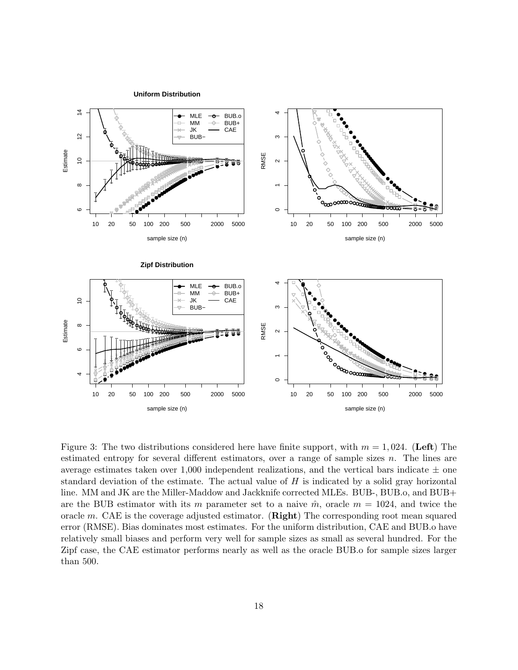**Uniform Distribution**



Figure 3: The two distributions considered here have finite support, with  $m = 1,024$ . (Left) The estimated entropy for several different estimators, over a range of sample sizes  $n$ . The lines are average estimates taken over 1,000 independent realizations, and the vertical bars indicate  $\pm$  one standard deviation of the estimate. The actual value of  $H$  is indicated by a solid gray horizontal line. MM and JK are the Miller-Maddow and Jackknife corrected MLEs. BUB-, BUB.o, and BUB+ are the BUB estimator with its m parameter set to a naive  $\hat{m}$ , oracle  $m = 1024$ , and twice the oracle m. CAE is the coverage adjusted estimator. (**Right**) The corresponding root mean squared error (RMSE). Bias dominates most estimates. For the uniform distribution, CAE and BUB.o have relatively small biases and perform very well for sample sizes as small as several hundred. For the Zipf case, the CAE estimator performs nearly as well as the oracle BUB.o for sample sizes larger than 500.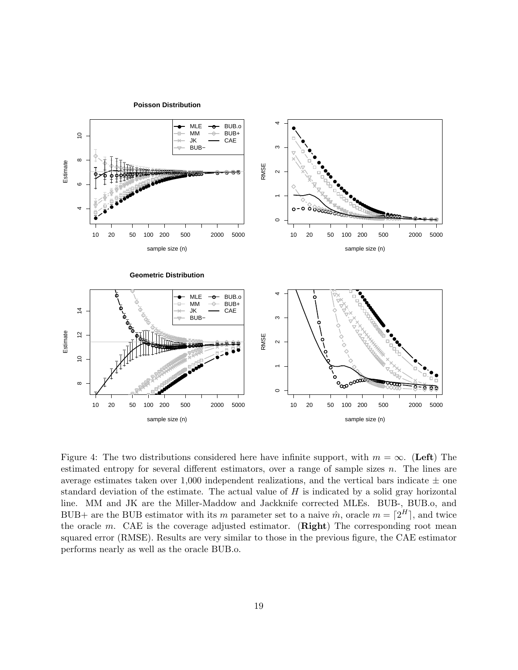

Figure 4: The two distributions considered here have infinite support, with  $m = \infty$ . (Left) The estimated entropy for several different estimators, over a range of sample sizes  $n$ . The lines are average estimates taken over 1,000 independent realizations, and the vertical bars indicate  $\pm$  one standard deviation of the estimate. The actual value of  $H$  is indicated by a solid gray horizontal line. MM and JK are the Miller-Maddow and Jackknife corrected MLEs. BUB-, BUB.o, and BUB+ are the BUB estimator with its m parameter set to a naive  $\hat{m}$ , oracle  $m = \lfloor 2^H \rfloor$ , and twice the oracle  $m$ . CAE is the coverage adjusted estimator. (**Right**) The corresponding root mean squared error (RMSE). Results are very similar to those in the previous figure, the CAE estimator performs nearly as well as the oracle BUB.o.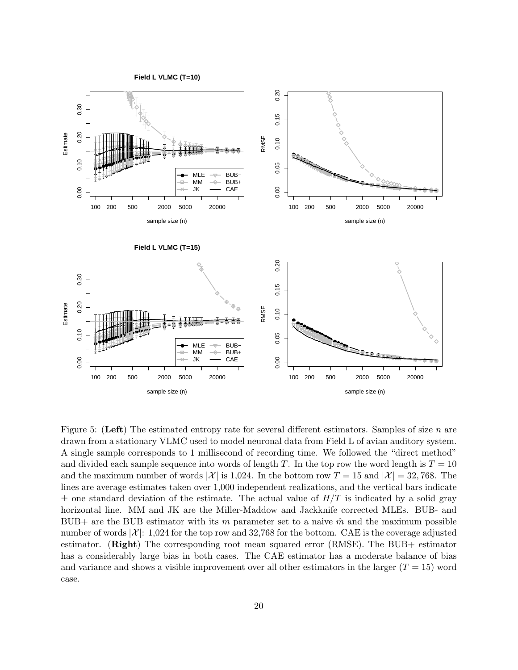

Figure 5: (Left) The estimated entropy rate for several different estimators. Samples of size n are drawn from a stationary VLMC used to model neuronal data from Field L of avian auditory system. A single sample corresponds to 1 millisecond of recording time. We followed the "direct method" and divided each sample sequence into words of length T. In the top row the word length is  $T = 10$ and the maximum number of words  $|\mathcal{X}|$  is 1,024. In the bottom row  $T = 15$  and  $|\mathcal{X}| = 32,768$ . The lines are average estimates taken over 1,000 independent realizations, and the vertical bars indicate  $\pm$  one standard deviation of the estimate. The actual value of  $H/T$  is indicated by a solid gray horizontal line. MM and JK are the Miller-Maddow and Jackknife corrected MLEs. BUB- and BUB+ are the BUB estimator with its m parameter set to a naive  $\hat{m}$  and the maximum possible number of words  $|\mathcal{X}|: 1,024$  for the top row and 32,768 for the bottom. CAE is the coverage adjusted estimator. (Right) The corresponding root mean squared error (RMSE). The BUB+ estimator has a considerably large bias in both cases. The CAE estimator has a moderate balance of bias and variance and shows a visible improvement over all other estimators in the larger  $(T = 15)$  word case.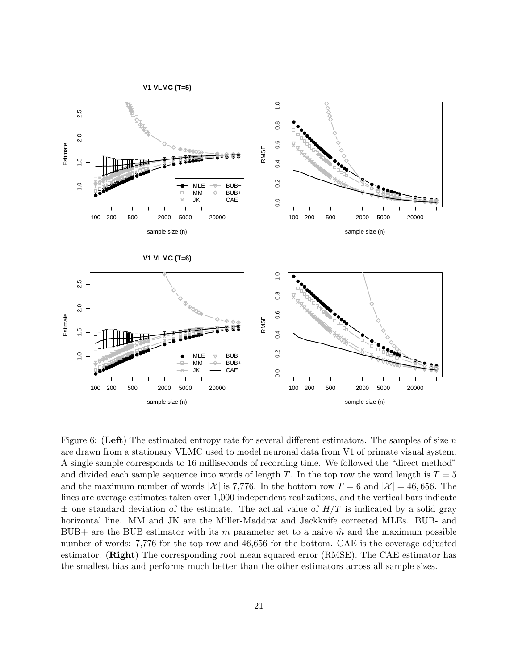

Figure 6: (Left) The estimated entropy rate for several different estimators. The samples of size n are drawn from a stationary VLMC used to model neuronal data from V1 of primate visual system. A single sample corresponds to 16 milliseconds of recording time. We followed the "direct method" and divided each sample sequence into words of length T. In the top row the word length is  $T = 5$ and the maximum number of words |X| is 7,776. In the bottom row  $T = 6$  and  $|X| = 46,656$ . The lines are average estimates taken over 1,000 independent realizations, and the vertical bars indicate  $\pm$  one standard deviation of the estimate. The actual value of  $H/T$  is indicated by a solid gray horizontal line. MM and JK are the Miller-Maddow and Jackknife corrected MLEs. BUB- and BUB+ are the BUB estimator with its m parameter set to a naive  $\hat{m}$  and the maximum possible number of words: 7,776 for the top row and 46,656 for the bottom. CAE is the coverage adjusted estimator. (Right) The corresponding root mean squared error (RMSE). The CAE estimator has the smallest bias and performs much better than the other estimators across all sample sizes.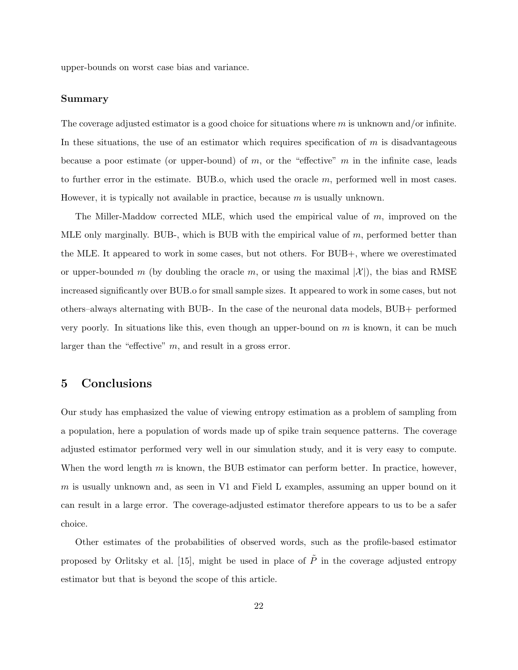upper-bounds on worst case bias and variance.

### Summary

The coverage adjusted estimator is a good choice for situations where  $m$  is unknown and/or infinite. In these situations, the use of an estimator which requires specification of  $m$  is disadvantageous because a poor estimate (or upper-bound) of  $m$ , or the "effective"  $m$  in the infinite case, leads to further error in the estimate. BUB.o, which used the oracle  $m$ , performed well in most cases. However, it is typically not available in practice, because  $m$  is usually unknown.

The Miller-Maddow corrected MLE, which used the empirical value of m, improved on the MLE only marginally. BUB-, which is BUB with the empirical value of  $m$ , performed better than the MLE. It appeared to work in some cases, but not others. For BUB+, where we overestimated or upper-bounded m (by doubling the oracle m, or using the maximal  $|\mathcal{X}|$ ), the bias and RMSE increased significantly over BUB.o for small sample sizes. It appeared to work in some cases, but not others–always alternating with BUB-. In the case of the neuronal data models, BUB+ performed very poorly. In situations like this, even though an upper-bound on  $m$  is known, it can be much larger than the "effective"  $m$ , and result in a gross error.

## 5 Conclusions

Our study has emphasized the value of viewing entropy estimation as a problem of sampling from a population, here a population of words made up of spike train sequence patterns. The coverage adjusted estimator performed very well in our simulation study, and it is very easy to compute. When the word length  $m$  is known, the BUB estimator can perform better. In practice, however, m is usually unknown and, as seen in V1 and Field L examples, assuming an upper bound on it can result in a large error. The coverage-adjusted estimator therefore appears to us to be a safer choice.

Other estimates of the probabilities of observed words, such as the profile-based estimator proposed by Orlitsky et al. [15], might be used in place of  $\tilde{P}$  in the coverage adjusted entropy estimator but that is beyond the scope of this article.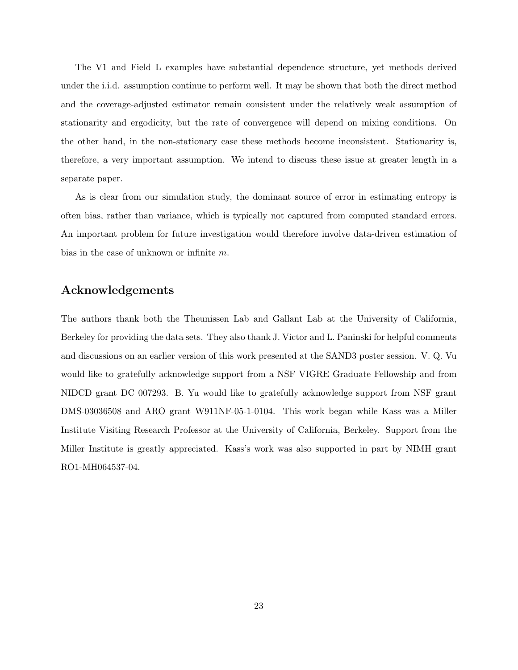The V1 and Field L examples have substantial dependence structure, yet methods derived under the i.i.d. assumption continue to perform well. It may be shown that both the direct method and the coverage-adjusted estimator remain consistent under the relatively weak assumption of stationarity and ergodicity, but the rate of convergence will depend on mixing conditions. On the other hand, in the non-stationary case these methods become inconsistent. Stationarity is, therefore, a very important assumption. We intend to discuss these issue at greater length in a separate paper.

As is clear from our simulation study, the dominant source of error in estimating entropy is often bias, rather than variance, which is typically not captured from computed standard errors. An important problem for future investigation would therefore involve data-driven estimation of bias in the case of unknown or infinite m.

## Acknowledgements

The authors thank both the Theunissen Lab and Gallant Lab at the University of California, Berkeley for providing the data sets. They also thank J. Victor and L. Paninski for helpful comments and discussions on an earlier version of this work presented at the SAND3 poster session. V. Q. Vu would like to gratefully acknowledge support from a NSF VIGRE Graduate Fellowship and from NIDCD grant DC 007293. B. Yu would like to gratefully acknowledge support from NSF grant DMS-03036508 and ARO grant W911NF-05-1-0104. This work began while Kass was a Miller Institute Visiting Research Professor at the University of California, Berkeley. Support from the Miller Institute is greatly appreciated. Kass's work was also supported in part by NIMH grant RO1-MH064537-04.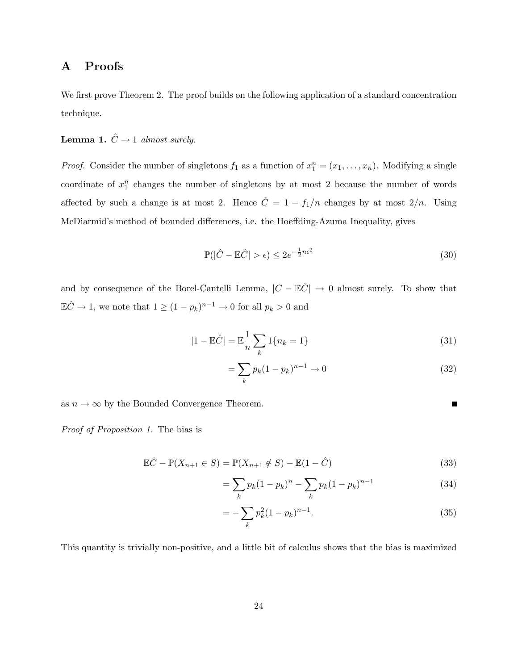## A Proofs

We first prove Theorem 2. The proof builds on the following application of a standard concentration technique.

**Lemma 1.**  $\hat{C} \rightarrow 1$  almost surely.

*Proof.* Consider the number of singletons  $f_1$  as a function of  $x_1^n = (x_1, \ldots, x_n)$ . Modifying a single coordinate of  $x_1^n$  changes the number of singletons by at most 2 because the number of words affected by such a change is at most 2. Hence  $\hat{C} = 1 - f_1/n$  changes by at most  $2/n$ . Using McDiarmid's method of bounded differences, i.e. the Hoeffding-Azuma Inequality, gives

$$
\mathbb{P}(|\hat{C} - \mathbb{E}\hat{C}| > \epsilon) \le 2e^{-\frac{1}{2}n\epsilon^2}
$$
\n(30)

and by consequence of the Borel-Cantelli Lemma,  $|C - \mathbb{E}\hat{C}| \to 0$  almost surely. To show that  $\mathbb{E}\hat{C} \to 1$ , we note that  $1 \ge (1 - p_k)^{n-1} \to 0$  for all  $p_k > 0$  and

$$
|1 - \mathbb{E}\hat{C}| = \mathbb{E}\frac{1}{n}\sum_{k} 1\{n_k = 1\}
$$
\n(31)

$$
= \sum_{k} p_k (1 - p_k)^{n-1} \to 0
$$
\n(32)

as  $n \to \infty$  by the Bounded Convergence Theorem.

Proof of Proposition 1. The bias is

$$
\mathbb{E}\hat{C} - \mathbb{P}(X_{n+1} \in S) = \mathbb{P}(X_{n+1} \notin S) - \mathbb{E}(1 - \hat{C})
$$
\n(33)

$$
= \sum_{k} p_k (1 - p_k)^n - \sum_{k} p_k (1 - p_k)^{n-1}
$$
 (34)

$$
= -\sum_{k} p_k^2 (1 - p_k)^{n-1}.
$$
\n(35)

This quantity is trivially non-positive, and a little bit of calculus shows that the bias is maximized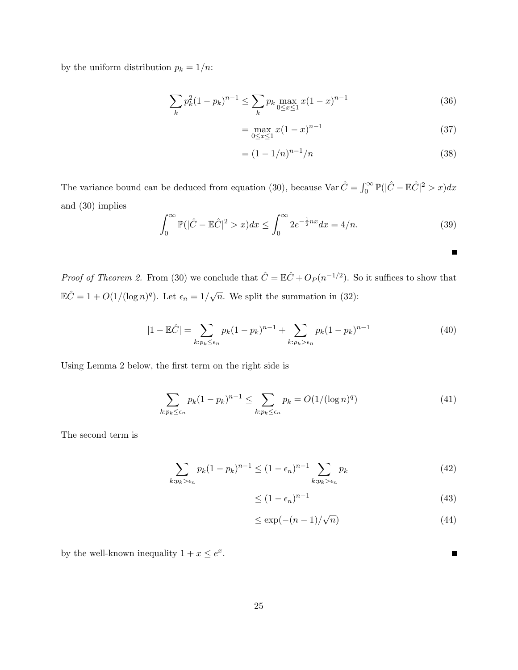by the uniform distribution  $p_k = 1/n$ :

$$
\sum_{k} p_k^2 (1 - p_k)^{n-1} \le \sum_{k} p_k \max_{0 \le x \le 1} x (1 - x)^{n-1} \tag{36}
$$

$$
= \max_{0 \le x \le 1} x(1-x)^{n-1}
$$
 (37)

$$
= (1 - 1/n)^{n-1}/n \tag{38}
$$

The variance bound can be deduced from equation (30), because  $\text{Var }\hat{C} = \int_0^\infty \mathbb{P}(|\hat{C} - \mathbb{E}\hat{C}|^2 > x)dx$ and (30) implies

$$
\int_0^\infty \mathbb{P}(|\hat{C} - \mathbb{E}\hat{C}|^2 > x)dx \le \int_0^\infty 2e^{-\frac{1}{2}nx}dx = 4/n.
$$
 (39)

*Proof of Theorem 2.* From (30) we conclude that  $\hat{C} = \mathbb{E}\hat{C} + O_P(n^{-1/2})$ . So it suffices to show that  $\mathbb{E}\hat{C} = 1 + O(1/(\log n)^q)$ . Let  $\epsilon_n = 1/\sqrt{n}$ . We split the summation in (32):

$$
|1 - \mathbb{E}\hat{C}| = \sum_{k:p_k \le \epsilon_n} p_k (1 - p_k)^{n-1} + \sum_{k:p_k > \epsilon_n} p_k (1 - p_k)^{n-1}
$$
(40)

Using Lemma 2 below, the first term on the right side is

$$
\sum_{k:p_k\leq\epsilon_n} p_k(1-p_k)^{n-1} \leq \sum_{k:p_k\leq\epsilon_n} p_k = O(1/(\log n)^q)
$$
\n(41)

The second term is

$$
\sum_{k:p_k>\epsilon_n} p_k(1-p_k)^{n-1} \le (1-\epsilon_n)^{n-1} \sum_{k:p_k>\epsilon_n} p_k
$$
\n(42)

$$
\leq (1 - \epsilon_n)^{n-1} \tag{43}
$$

$$
\leq \exp(-(n-1)/\sqrt{n})\tag{44}
$$

by the well-known inequality  $1 + x \leq e^x$ .

П

 $\blacksquare$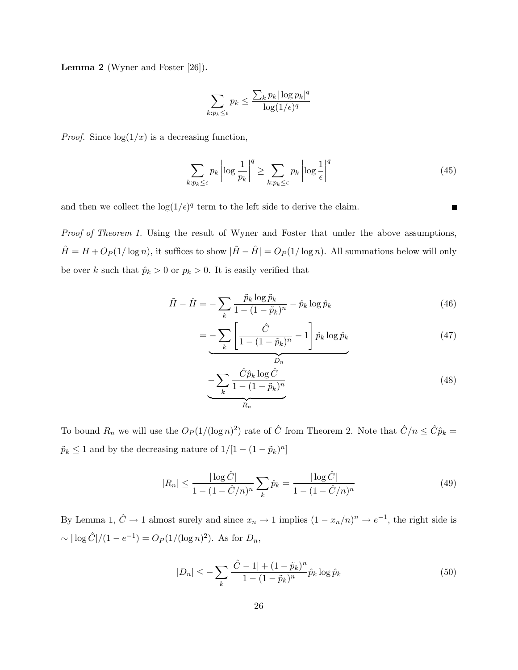Lemma 2 (Wyner and Foster [26]).

$$
\sum_{k: p_k \leq \epsilon} p_k \leq \frac{\sum_k p_k |\log p_k|^q}{\log(1/\epsilon)^q}
$$

*Proof.* Since  $\log(1/x)$  is a decreasing function,

$$
\sum_{k:p_k\leq\epsilon} p_k \left| \log \frac{1}{p_k} \right|^q \geq \sum_{k:p_k\leq\epsilon} p_k \left| \log \frac{1}{\epsilon} \right|^q \tag{45}
$$

and then we collect the  $\log(1/\epsilon)^q$  term to the left side to derive the claim.

Proof of Theorem 1. Using the result of Wyner and Foster that under the above assumptions,  $\hat{H} = H + O_P(1/\log n)$ , it suffices to show  $|\tilde{H} - \hat{H}| = O_P(1/\log n)$ . All summations below will only be over k such that  $\hat{p}_k > 0$  or  $p_k > 0$ . It is easily verified that

$$
\tilde{H} - \hat{H} = -\sum_{k} \frac{\tilde{p}_k \log \tilde{p}_k}{1 - (1 - \tilde{p}_k)^n} - \hat{p}_k \log \hat{p}_k
$$
\n(46)

$$
= -\sum_{k} \left[ \frac{\hat{C}}{1 - (1 - \tilde{p}_k)^n} - 1 \right] \hat{p}_k \log \hat{p}_k \tag{47}
$$

$$
-\sum_{k} \frac{\hat{C}\hat{p}_k \log \hat{C}}{1 - (1 - \tilde{p}_k)^n}
$$
\n(48)

To bound  $R_n$  we will use the  $O_P(1/(\log n)^2)$  rate of  $\hat{C}$  from Theorem 2. Note that  $\hat{C}/n \leq \hat{C}\hat{p}_k =$  $\tilde{p}_k \leq 1$  and by the decreasing nature of  $1/[1-(1-\tilde{p}_k)^n]$ 

$$
|R_n| \le \frac{|\log \hat{C}|}{1 - (1 - \hat{C}/n)^n} \sum_k \hat{p}_k = \frac{|\log \hat{C}|}{1 - (1 - \hat{C}/n)^n}
$$
(49)

By Lemma 1,  $\hat{C} \to 1$  almost surely and since  $x_n \to 1$  implies  $(1 - x_n/n)^n \to e^{-1}$ , the right side is  $\sim |\log \hat{C}|/(1-e^{-1}) = O_P(1/(\log n)^2)$ . As for  $D_n$ ,

$$
|D_n| \le -\sum_{k} \frac{|\hat{C} - 1| + (1 - \tilde{p}_k)^n}{1 - (1 - \tilde{p}_k)^n} \hat{p}_k \log \hat{p}_k
$$
\n(50)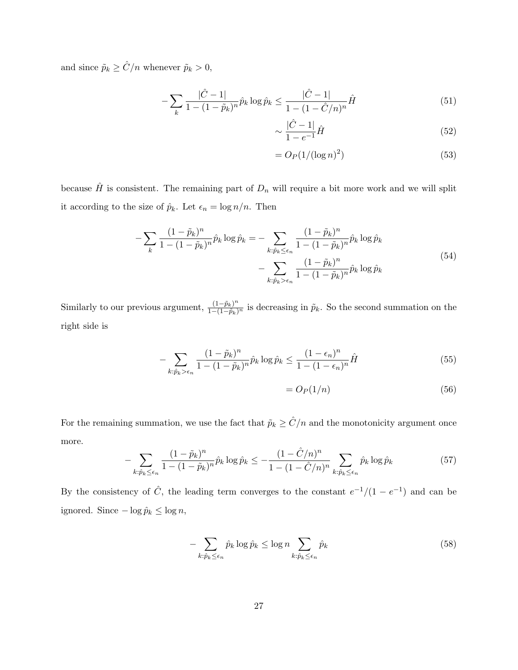and since  $\tilde{p}_k \geq \hat{C}/n$  whenever  $\tilde{p}_k > 0,$ 

$$
-\sum_{k} \frac{|\hat{C} - 1|}{1 - (1 - \tilde{p}_k)^n} \hat{p}_k \log \hat{p}_k \le \frac{|\hat{C} - 1|}{1 - (1 - \hat{C}/n)^n} \hat{H}
$$
(51)

$$
\sim \frac{|\hat{C} - 1|}{1 - e^{-1}} \hat{H}
$$
\n<sup>(52)</sup>

$$
=O_P(1/(\log n)^2)
$$
\n(53)

because  $\hat{H}$  is consistent. The remaining part of  $D_n$  will require a bit more work and we will split it according to the size of  $\hat{p}_k$ . Let  $\epsilon_n = \log n/n$ . Then

$$
-\sum_{k} \frac{(1-\tilde{p}_k)^n}{1 - (1-\tilde{p}_k)^n} \hat{p}_k \log \hat{p}_k = -\sum_{k:\hat{p}_k \le \epsilon_n} \frac{(1-\tilde{p}_k)^n}{1 - (1-\tilde{p}_k)^n} \hat{p}_k \log \hat{p}_k - \sum_{k:\hat{p}_k > \epsilon_n} \frac{(1-\tilde{p}_k)^n}{1 - (1-\tilde{p}_k)^n} \hat{p}_k \log \hat{p}_k
$$
(54)

Similarly to our previous argument,  $\frac{(1-\tilde{p}_k)^n}{1-(1-\tilde{p}_k)^n}$  is decreasing in  $\tilde{p}_k$ . So the second summation on the right side is

$$
-\sum_{k:\hat{p}_k > \epsilon_n} \frac{(1-\tilde{p}_k)^n}{1 - (1-\tilde{p}_k)^n} \hat{p}_k \log \hat{p}_k \le \frac{(1-\epsilon_n)^n}{1 - (1-\epsilon_n)^n} \hat{H}
$$
(55)

$$
=O_P(1/n) \tag{56}
$$

For the remaining summation, we use the fact that  $\tilde{p}_k \geq \hat{C}/n$  and the monotonicity argument once more.

$$
-\sum_{k:\hat{p}_k \leq \epsilon_n} \frac{(1-\tilde{p}_k)^n}{1-(1-\tilde{p}_k)^n} \hat{p}_k \log \hat{p}_k \leq -\frac{(1-\hat{C}/n)^n}{1-(1-\hat{C}/n)^n} \sum_{k:\hat{p}_k \leq \epsilon_n} \hat{p}_k \log \hat{p}_k
$$
(57)

By the consistency of  $\hat{C}$ , the leading term converges to the constant  $e^{-1}/(1-e^{-1})$  and can be ignored. Since  $-\log \hat{p}_k \le \log n$ ,

$$
-\sum_{k:\hat{p}_k\leq\epsilon_n}\hat{p}_k\log\hat{p}_k\leq\log n\sum_{k:\hat{p}_k\leq\epsilon_n}\hat{p}_k\tag{58}
$$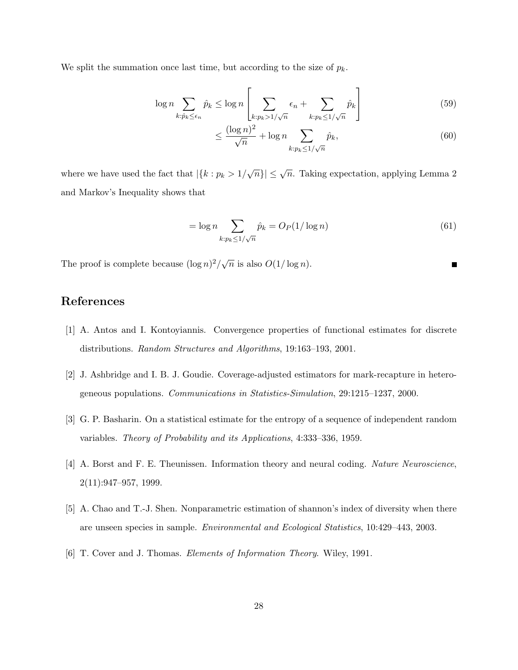We split the summation once last time, but according to the size of  $p_k$ .

$$
\log n \sum_{k:\hat{p}_k \le \epsilon_n} \hat{p}_k \le \log n \left[ \sum_{k:p_k > 1/\sqrt{n}} \epsilon_n + \sum_{k:p_k \le 1/\sqrt{n}} \hat{p}_k \right] \tag{59}
$$

$$
\leq \frac{(\log n)^2}{\sqrt{n}} + \log n \sum_{k: p_k \leq 1/\sqrt{n}} \hat{p}_k,\tag{60}
$$

where we have used the fact that  $|\{k : p_k > 1/\sqrt{n}\}| \leq \sqrt{n}$ . Taking expectation, applying Lemma 2 and Markov's Inequality shows that

$$
= \log n \sum_{k: p_k \le 1/\sqrt{n}} \hat{p}_k = O_P(1/\log n)
$$
\n(61)

The proof is complete because  $(\log n)^2/\sqrt{n}$  is also  $O(1/\log n)$ .

# References

- [1] A. Antos and I. Kontoyiannis. Convergence properties of functional estimates for discrete distributions. Random Structures and Algorithms, 19:163–193, 2001.
- [2] J. Ashbridge and I. B. J. Goudie. Coverage-adjusted estimators for mark-recapture in heterogeneous populations. Communications in Statistics-Simulation, 29:1215–1237, 2000.
- [3] G. P. Basharin. On a statistical estimate for the entropy of a sequence of independent random variables. Theory of Probability and its Applications, 4:333–336, 1959.
- [4] A. Borst and F. E. Theunissen. Information theory and neural coding. Nature Neuroscience, 2(11):947–957, 1999.
- [5] A. Chao and T.-J. Shen. Nonparametric estimation of shannon's index of diversity when there are unseen species in sample. Environmental and Ecological Statistics, 10:429–443, 2003.
- [6] T. Cover and J. Thomas. Elements of Information Theory. Wiley, 1991.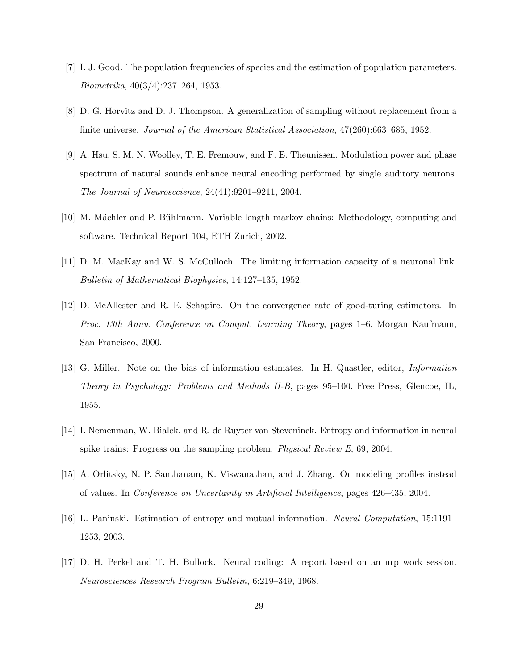- [7] I. J. Good. The population frequencies of species and the estimation of population parameters. Biometrika, 40(3/4):237–264, 1953.
- [8] D. G. Horvitz and D. J. Thompson. A generalization of sampling without replacement from a finite universe. Journal of the American Statistical Association, 47(260):663–685, 1952.
- [9] A. Hsu, S. M. N. Woolley, T. E. Fremouw, and F. E. Theunissen. Modulation power and phase spectrum of natural sounds enhance neural encoding performed by single auditory neurons. The Journal of Neurosccience, 24(41):9201–9211, 2004.
- [10] M. Mächler and P. Bühlmann. Variable length markov chains: Methodology, computing and software. Technical Report 104, ETH Zurich, 2002.
- [11] D. M. MacKay and W. S. McCulloch. The limiting information capacity of a neuronal link. Bulletin of Mathematical Biophysics, 14:127–135, 1952.
- [12] D. McAllester and R. E. Schapire. On the convergence rate of good-turing estimators. In Proc. 13th Annu. Conference on Comput. Learning Theory, pages 1–6. Morgan Kaufmann, San Francisco, 2000.
- [13] G. Miller. Note on the bias of information estimates. In H. Quastler, editor, Information Theory in Psychology: Problems and Methods II-B, pages 95–100. Free Press, Glencoe, IL, 1955.
- [14] I. Nemenman, W. Bialek, and R. de Ruyter van Steveninck. Entropy and information in neural spike trains: Progress on the sampling problem. Physical Review E, 69, 2004.
- [15] A. Orlitsky, N. P. Santhanam, K. Viswanathan, and J. Zhang. On modeling profiles instead of values. In Conference on Uncertainty in Artificial Intelligence, pages 426–435, 2004.
- [16] L. Paninski. Estimation of entropy and mutual information. Neural Computation, 15:1191– 1253, 2003.
- [17] D. H. Perkel and T. H. Bullock. Neural coding: A report based on an nrp work session. Neurosciences Research Program Bulletin, 6:219–349, 1968.